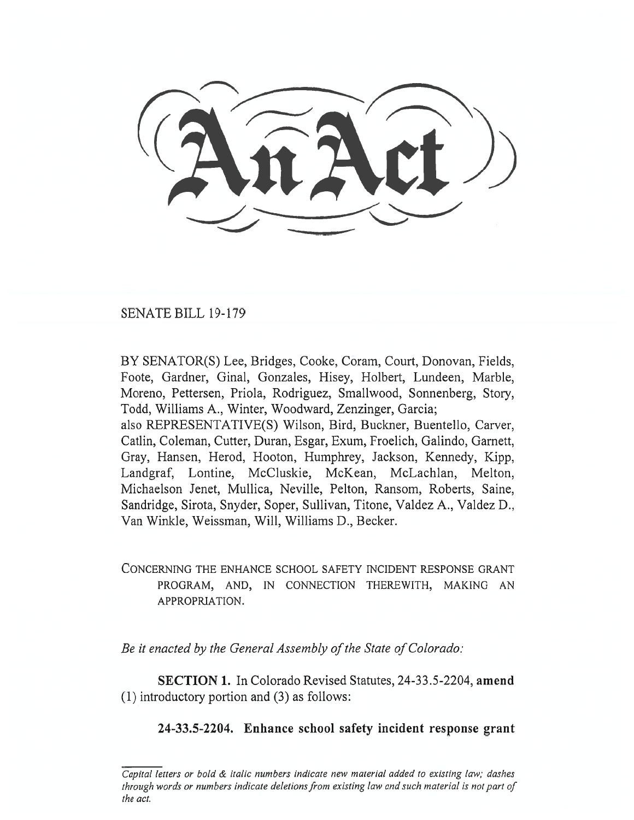SENATE BILL 19-179

BY SENATOR(S) Lee, Bridges, Cooke, Coram, Court, Donovan, Fields, Foote, Gardner, Ginal, Gonzales, Hisey, Holbert, Lundeen, Marble, Moreno, Pettersen, Priola, Rodriguez, Smallwood, Sonnenberg, Story, Todd, Williams A., Winter, Woodward, Zenzinger, Garcia; also REPRESENTATIVE(S) Wilson, Bird, Buckner, Buentello, Carver, Catlin, Coleman, Cutter, Duran, Esgar, Exum, Froelich, Galindo, Garnett, Gray, Hansen, Herod, Hooton, Humphrey, Jackson, Kennedy, Kipp, Landgraf, Lontine, McCluskie, McKean, McLachlan, Melton, Michaelson Jenet, Mullica, Neville, Pelton, Ransom, Roberts, Saine,

Sandridge, Sirota, Snyder, Soper, Sullivan, Titone, Valdez A., Valdez D., Van Winkle, Weissman, Will, Williams D., Becker.

## CONCERNING THE ENHANCE SCHOOL SAFETY INCIDENT RESPONSE GRANT PROGRAM, AND, IN CONNECTION THEREWITH, MAKING AN APPROPRIATION.

*Be it enacted by the General Assembly of the State of Colorado:* 

**SECTION 1.** In Colorado Revised Statutes, 24-33.5-2204, **amend**  (1) introductory portion and (3) as follows:

## **24-33.5-2204. Enhance school safety incident response grant**

*Capital letters or bold & italic numbers indicate new material added to existing law; dashes through words or numbers indicate deletions from existing law and such material is not part of the act.*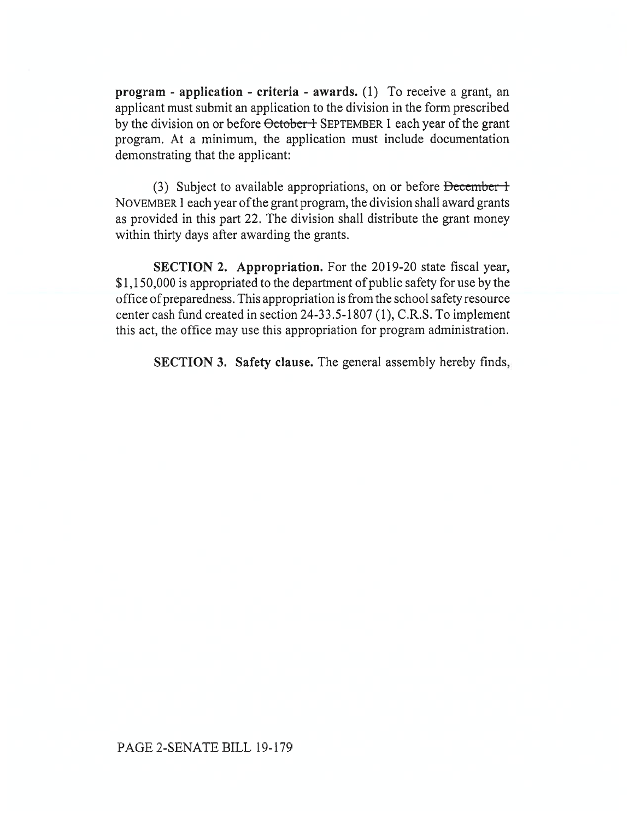**program - application - criteria - awards.** (1) To receive a grant, an applicant must submit an application to the division in the form prescribed by the division on or before October + SEPTEMBER 1 each year of the grant program. At a minimum, the application must include documentation demonstrating that the applicant:

(3) Subject to available appropriations, on or before  $December 1$ NOVEMBER 1 each year of the grant program, the division shall award grants as provided in this part 22. The division shall distribute the grant money within thirty days after awarding the grants.

**SECTION 2. Appropriation.** For the 2019-20 state fiscal year, \$1,150,000 is appropriated to the department of public safety for use by the office of preparedness. This appropriation is from the school safety resource center cash fund created in section 24-33.5-1807 (1), C.R.S. To implement this act, the office may use this appropriation for program administration.

**SECTION 3. Safety clause.** The general assembly hereby finds,